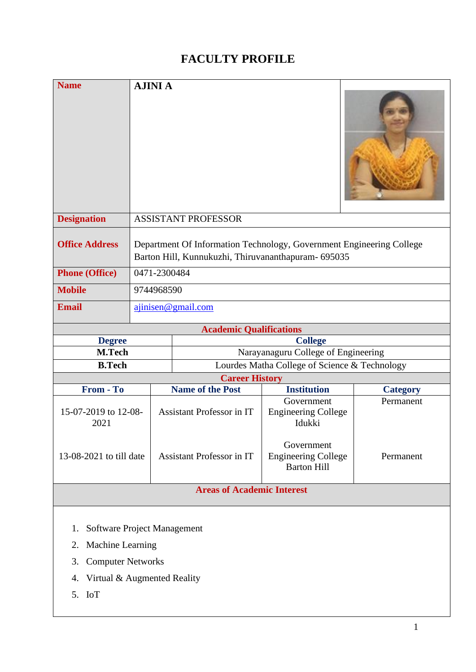## **FACULTY PROFILE**

| <b>Name</b>                                                                                                                                  | <b>AJINI A</b>                                                                                                              |                                     |                                                                        |                 |  |
|----------------------------------------------------------------------------------------------------------------------------------------------|-----------------------------------------------------------------------------------------------------------------------------|-------------------------------------|------------------------------------------------------------------------|-----------------|--|
| <b>Designation</b>                                                                                                                           | <b>ASSISTANT PROFESSOR</b>                                                                                                  |                                     |                                                                        |                 |  |
| <b>Office Address</b>                                                                                                                        | Department Of Information Technology, Government Engineering College<br>Barton Hill, Kunnukuzhi, Thiruvananthapuram- 695035 |                                     |                                                                        |                 |  |
| <b>Phone (Office)</b>                                                                                                                        | 0471-2300484                                                                                                                |                                     |                                                                        |                 |  |
| <b>Mobile</b>                                                                                                                                | 9744968590                                                                                                                  |                                     |                                                                        |                 |  |
| <b>Email</b>                                                                                                                                 | ajinisen@gmail.com                                                                                                          |                                     |                                                                        |                 |  |
| <b>Academic Qualifications</b>                                                                                                               |                                                                                                                             |                                     |                                                                        |                 |  |
| <b>Degree</b>                                                                                                                                |                                                                                                                             | <b>College</b>                      |                                                                        |                 |  |
| M.Tech                                                                                                                                       |                                                                                                                             | Narayanaguru College of Engineering |                                                                        |                 |  |
| <b>B.Tech</b>                                                                                                                                |                                                                                                                             |                                     | Lourdes Matha College of Science & Technology<br><b>Career History</b> |                 |  |
| From - To                                                                                                                                    |                                                                                                                             | <b>Name of the Post</b>             | <b>Institution</b>                                                     | <b>Category</b> |  |
| 15-07-2019 to 12-08-<br>2021                                                                                                                 |                                                                                                                             | <b>Assistant Professor in IT</b>    | Government<br><b>Engineering College</b><br>Idukki                     | Permanent       |  |
| 13-08-2021 to till date                                                                                                                      |                                                                                                                             | <b>Assistant Professor in IT</b>    | Government<br><b>Engineering College</b><br><b>Barton Hill</b>         | Permanent       |  |
| <b>Areas of Academic Interest</b>                                                                                                            |                                                                                                                             |                                     |                                                                        |                 |  |
| Software Project Management<br>1.<br>Machine Learning<br>2.<br><b>Computer Networks</b><br>3.<br>Virtual & Augmented Reality<br>4.<br>5. IoT |                                                                                                                             |                                     |                                                                        |                 |  |
|                                                                                                                                              |                                                                                                                             |                                     |                                                                        |                 |  |